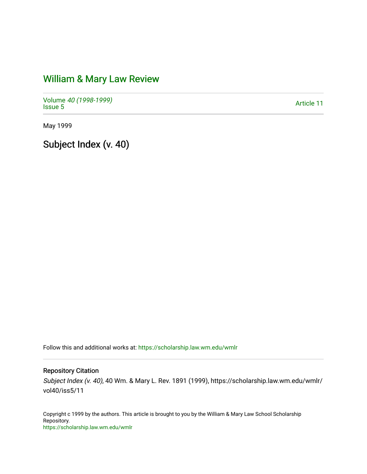# [William & Mary Law Review](https://scholarship.law.wm.edu/wmlr)

Volume [40 \(1998-1999\)](https://scholarship.law.wm.edu/wmlr/vol40)  volume 40 (1990-1999)<br>[Issue 5](https://scholarship.law.wm.edu/wmlr/vol40/iss5) Article 11

May 1999

Subject Index (v. 40)

Follow this and additional works at: [https://scholarship.law.wm.edu/wmlr](https://scholarship.law.wm.edu/wmlr?utm_source=scholarship.law.wm.edu%2Fwmlr%2Fvol40%2Fiss5%2F11&utm_medium=PDF&utm_campaign=PDFCoverPages)

Repository Citation

Subject Index (v. 40), 40 Wm. & Mary L. Rev. 1891 (1999), https://scholarship.law.wm.edu/wmlr/ vol40/iss5/11

Copyright c 1999 by the authors. This article is brought to you by the William & Mary Law School Scholarship Repository. <https://scholarship.law.wm.edu/wmlr>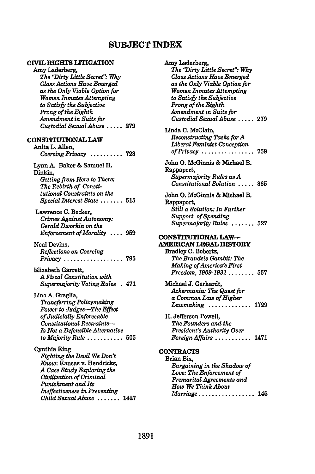# **SUBJECT INDEX**

#### **CVIL RIGHTS LITIGATION**

#### Amy Laderberg, **The** 'Dirty *Little Secret" Why Class Actions Have Emerged as the Only Viable Option for Women Inmates Attempting to Satisfy the Subjective Prong of the Eighth Amendment in Suits for Custodial Sexual Abuse* **..... 279**

#### **CONSTITUTIONAL LAW**

Anita L. Allen, *Coercing Privacy* .......... **723**

Lynn **A.** Baker **&** Samuel H. Dinkin, *Getting from Here to There: The Rebirth of Constitutional Constraints on the Special Interest State* ....... **515**

Lawrence **C.** Becker, *Crimes Against Autonomy: Gerald Dworkin on the Enforcement of Morality* .... **959**

Neal Devins, *Reflections on Coercing Privacy* .................. **795**

Elizabeth Garrett, *A Fiscal Constitution with Supermajority Voting Rules* **.** 471

Lino A. Graglia, *Transferring Policymaking Power to Judges-The Effect of Judicially Enforceable Constitutional Restraints-Is Not a Defensible Alternative to Majority Rule* ........... **505**

Cynthia King *Fighting the Devil We Don't Know:* Kansas v. Hendricks, *A Case Study Exploring the Civilization of Criminal Punishment and Its Ineffectiveness in Preventing Child Sexual Abuse* ....... 1427

Amy Laderberg, *The "Dirty Little Secret": Why Class Actions Have Emerged as the Only Viable Option for Women Inmates Attempting to Satisfy the Subjective Prong of the Eighth Amendment in Suits for Custodial Sexual Abuse .....* **279** Linda **C.** McClain, *Reconstructing Tasks forA Liberal Feminist Conception of Privacy ................* **759** John **0.** McGinnis & Michael B. Rappaport, *Supermajority Rules as A Constitutional Solution .....* **365** John **0.** McGinnis **&** Michael B. Rappaport, *Still a Solution: In Further Support of Spending Supermajority Rules .......* **<sup>527</sup> CONSTITUTIONAL LAW-AMERICAN LEGAL HISTORY** Bradley **C.** Bobertz, *The Brandeis Gambit: The Making of America's First Freedom, 1909-1931 ........* **557** Michael **J.** Gerhardt, *Ackermania: The Quest for a Common Law of Higher Lawmaking .............* **1729** H. Jefferson Powell, *The Founders and the President's Authority Over Foreign Affairs ...........* 1471 **CONTRACTS** Brian Bix, *Bargaining in the Shadow of Love: The Enforcement of Premarital Agreements and How We Think About Marriage .................* 145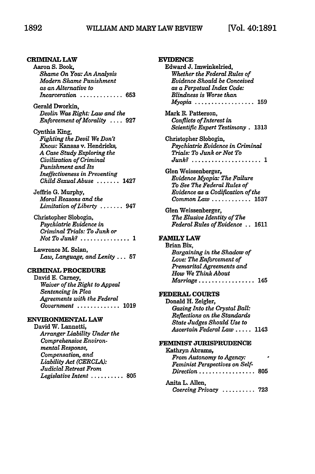# **CRIMINAL LAW Aaron S. Book,** *Shame On You: An Analysis Modern Shame Punishment as an Alternative to Incarceration .............* 653 Gerald Dworkin, *Devlin Was Right: Law and the Enforcement of Morality* .... **927** Cynthia King, *Fighting the Devil We Don't Know:* Kansas v. Hendricks, *A Case Study Exploring the Civilization of Criminal Punishment and Its Ineffectiveness in Preventing Child Sexual Abuse .......* <sup>1427</sup> Jeffrie **G.** Murphy, *Moral Reasons and the Limitation of Liberty .......* <sup>947</sup> Christopher Slobogin, *Psychiatric Evidence in Criminal Trials: To Junk or Not To Junk? . . . . . . . . . . . . . . . 1* Lawrence M. Solan, *Law, Language, and Lenity* ... **57 CRIMINAL PROCEDURE** David **E.** Carney, *Waiver of the Right to Appeal Sentencing in Plea Agreements with the Federal Government* ............. **1019 ENVIRONMENTAL LAW** David W. Lannetti, *Arranger Liability Under the Comprehensive Environmental Response, Compensation, and Liability Act (CERCLA):*

*Judicial Retreat From*

*Legislative Intent ..........* **805**

| <b>EVIDENCE</b><br>Edward J. Imwinkelried,                          |
|---------------------------------------------------------------------|
| Whether the Federal Rules of<br>Evidence Should be Conceived        |
| as a Perpetual Index Code:                                          |
| Blindness is Worse than                                             |
| Myopia<br>159                                                       |
| Mark R. Patterson,<br>Conflicts of Interest in                      |
| Scientific Expert Testimony . 1313                                  |
| Christopher Slobogin,                                               |
| Psychiatric Evidence in Criminal                                    |
| Trials: To Junk or Not To<br>$Junk$ ?<br>. . 1                      |
| Glen Weissenberger,                                                 |
| Evidence Myopia: The Failure                                        |
| To See The Federal Rules of<br>Evidence as a Codification of the    |
| Common Law  1537                                                    |
| Glen Weissenberger,                                                 |
| The Elusive Identity of The                                         |
| Federal Rules of Evidence . 1611                                    |
| <b>FAMILY LAW</b>                                                   |
| Brian Bix.<br>Bargaining in the Shadow of                           |
| Love: The Enforcement of                                            |
| Premarital Agreements and                                           |
| How We Think About<br>$\emph{Marriage} \dots \dots \dots$<br>. .145 |
|                                                                     |
| <b>FEDERAL COURTS</b>                                               |
| Donald H. Zeigler,<br>Gazing Into the Crystal Ball:                 |
| Reflections on the Standards                                        |
| <b>State Judges Should Use to</b>                                   |
| Ascertain Federal Law  1143                                         |
| FEMINIST JURISPRUDENCE                                              |
| Kathryn Abrams,<br>From Autonomy to Agency:                         |
| Feminist Perspectives on Self-                                      |
| $Direction \dots \dots \dots \dots$<br>805                          |
| Anita L. Allen,                                                     |

*Coercing Privacy ..........* 723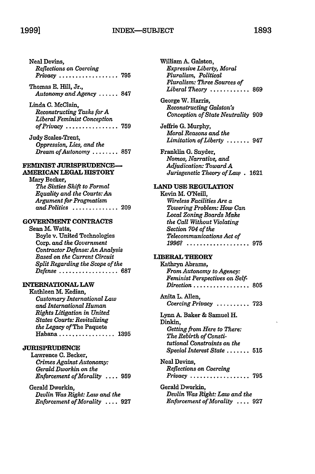# INDEX--SUBJECT **1999] 1893**

| Neal Devins.            |  |
|-------------------------|--|
| Reflections on Coercing |  |
|                         |  |

Thomas **E.** Hill, Jr., *Autonomy and Agency ......* **<sup>847</sup>**

Linda **C.** McClain, *Reconstructing Tasks for A Liberal Feminist Conception of Privacy ................* **759**

Judy Scales-Trent, *Oppression, Lies, and the Dream of Autonomy ........* **857**

#### **FEMINIST JURISPRUDENCE-AMERICAN LEGAL** HISTORY

Mary Becker, *The Sixties Shift to Formal Equality and the Courts: An Argument for Pragmatism and Politics ..............* **209**

# **GOVERNMENT CONTRACTS**

Sean **M.** Watts, Boyle v. United Technologies Corp. *and the Government Contractor Defense: An Analysis Based on the Current Circuit Split Regarding the Scope of the Defense ..................* 687

#### **INTERNATIONAL LAW**

Kathleen **M.** Kedian, *Customary International Law and International Human Rights Litigation in United States Courts: Revitalising the Legacy of* The Paquete Habana ................. 1395

# **JURISPRUDENCE**

Lawrence **C.** Becker, *Crimes Against Autonomy: Gerald Dworkin on the Enforcement of Morality* .... **959**

Gerald Dworkin, *Devlin Was Right: Law and the Enforcement of Morality* .... 927

| William A. Galston,<br>Expressive Liberty, Moral<br>Pluralism, Political<br>Pluralism: Three Sources of<br>Liberal Theory $\ldots \ldots \ldots$<br>. 869                                                                                            |
|------------------------------------------------------------------------------------------------------------------------------------------------------------------------------------------------------------------------------------------------------|
| George W. Harris,<br>Reconstructing Galston's<br>Conception of State Neutrality 909                                                                                                                                                                  |
| Jeffrie G. Murphy,<br>Moral Reasons and the<br>Limitation of Liberty<br>.947                                                                                                                                                                         |
| Franklin G. Snyder,<br>Nomos, Narrative, and<br>Adjudication: Toward A<br>Jurisgenetic Theory of Law. 1621                                                                                                                                           |
| <b>LAND USE REGULATION</b><br>Kevin M. O'Neill.<br>Wireless Facilities Are a<br>Towering Problem: How Can<br>Local Zoning Boards Make<br>the Call Without Violating<br>Section 704 of the<br>Telecommunications Act of<br>1996?<br>$\ldots$ .<br>975 |
| <b>LIBERAL THEORY</b><br>Kathryn Abrams,<br>From Autonomy to Agency:<br>Feminist Perspectives on Self-<br>Direction<br>805                                                                                                                           |
| Anita L. Allen,<br>Coercing Privacy<br>$\ldots 723$                                                                                                                                                                                                  |
| Lynn A. Baker & Samuel H.<br>Dinkin.<br>Getting from Here to There:<br>The Rebirth of Consti-<br>tutional Constraints on the<br>$Special$ Interest State $\ldots \ldots 515$                                                                         |
| Neal Devins,<br>Reflections on Coercing<br>Privacy<br>795                                                                                                                                                                                            |
| Gerald Dworkin,<br>Devlin Was Right: Law and the<br>Enforcement of Morality  927                                                                                                                                                                     |